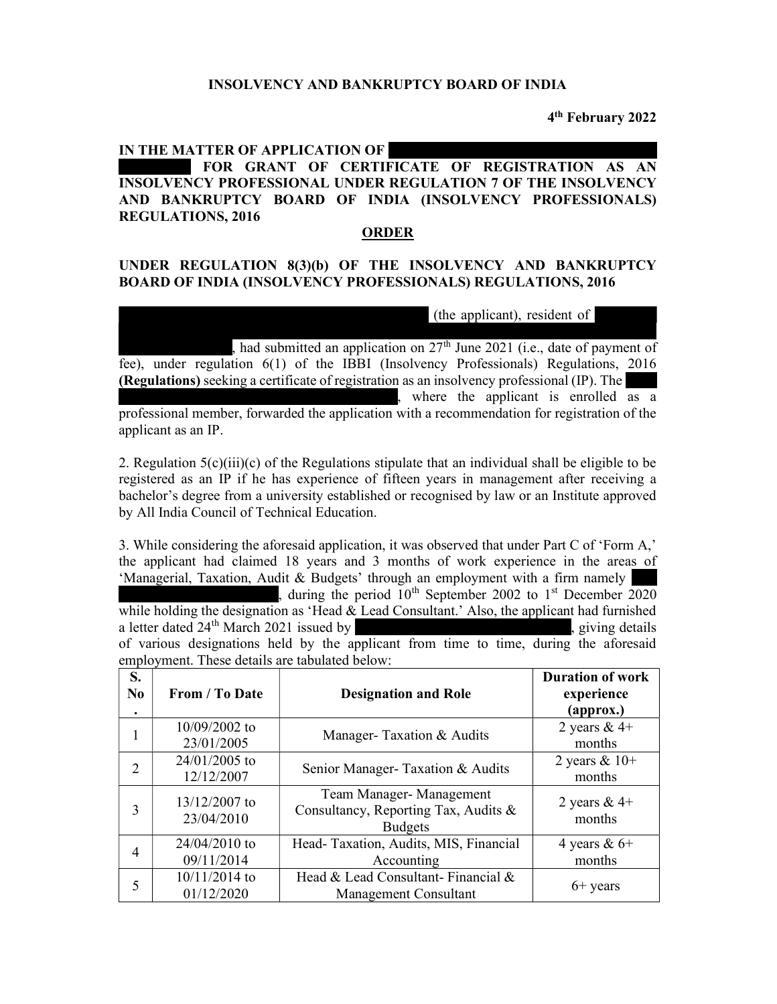## INSOLVENCY AND BANKRUPTCY BOARD OF INDIA

4 th February 2022

## IN THE MATTER OF APPLICATION OF FOR GRANT OF CERTIFICATE OF REGISTRATION AS AN INSOLVENCY PROFESSIONAL UNDER REGULATION 7 OF THE INSOLVENCY AND BANKRUPTCY BOARD OF INDIA (INSOLVENCY PROFESSIONALS) REGULATIONS, 2016

## ORDER

## UNDER REGULATION 8(3)(b) OF THE INSOLVENCY AND BANKRUPTCY BOARD OF INDIA (INSOLVENCY PROFESSIONALS) REGULATIONS, 2016

(the applicant), resident of  $\vert$ 

XXXXXXXXXXXXXXXXXXXXXXXXXXXXXXXXXXXXXXXXXXXXXXXXXXXX , had submitted an application on  $27<sup>th</sup>$  June 2021 (i.e., date of payment of fee), under regulation 6(1) of the IBBI (Insolvency Professionals) Regulations, 2016 (Regulations) seeking a certificate of registration as an insolvency professional  $(IP)$ . The where the applicant is enrolled as a professional member, forwarded the application with a recommendation for registration of the applicant as an IP.

2. Regulation  $5(c)(iii)(c)$  of the Regulations stipulate that an individual shall be eligible to be registered as an IP if he has experience of fifteen years in management after receiving a bachelor's degree from a university established or recognised by law or an Institute approved by All India Council of Technical Education.

3. While considering the aforesaid application, it was observed that under Part C of 'Form A,' the applicant had claimed 18 years and 3 months of work experience in the areas of 'Managerial, Taxation, Audit & Budgets' through an employment with a firm namely

, during the period  $10^{th}$  September 2002 to 1<sup>st</sup> December 2020 while holding the designation as 'Head  $\&$  Lead Consultant.' Also, the applicant had furnished a letter dated  $24<sup>th</sup>$  March  $2021$  issued by  $\frac{1}{2}$ , giving details of various designations held by the applicant from time to time, during the aforesaid employment. These details are tabulated below:

| S.<br>N <sub>0</sub><br>٠   | From / To Date                | <b>Designation and Role</b>                                                       | <b>Duration of work</b><br>experience<br>${\bf (approx.)}$ |
|-----------------------------|-------------------------------|-----------------------------------------------------------------------------------|------------------------------------------------------------|
| 1                           | 10/09/2002 to<br>23/01/2005   | Manager-Taxation & Audits                                                         | 2 years $&4+$<br>months                                    |
| $\mathcal{D}_{\mathcal{L}}$ | 24/01/2005 to<br>12/12/2007   | Senior Manager- Taxation & Audits                                                 | 2 years $& 10+$<br>months                                  |
| 3                           | 13/12/2007 to<br>23/04/2010   | Team Manager-Management<br>Consultancy, Reporting Tax, Audits &<br><b>Budgets</b> | 2 years & $4+$<br>months                                   |
| 4                           | 24/04/2010 to<br>09/11/2014   | Head-Taxation, Audits, MIS, Financial<br>Accounting                               | 4 years & $6+$<br>months                                   |
| 5                           | $10/11/2014$ to<br>01/12/2020 | Head & Lead Consultant-Financial &<br>Management Consultant                       | $6+$ years                                                 |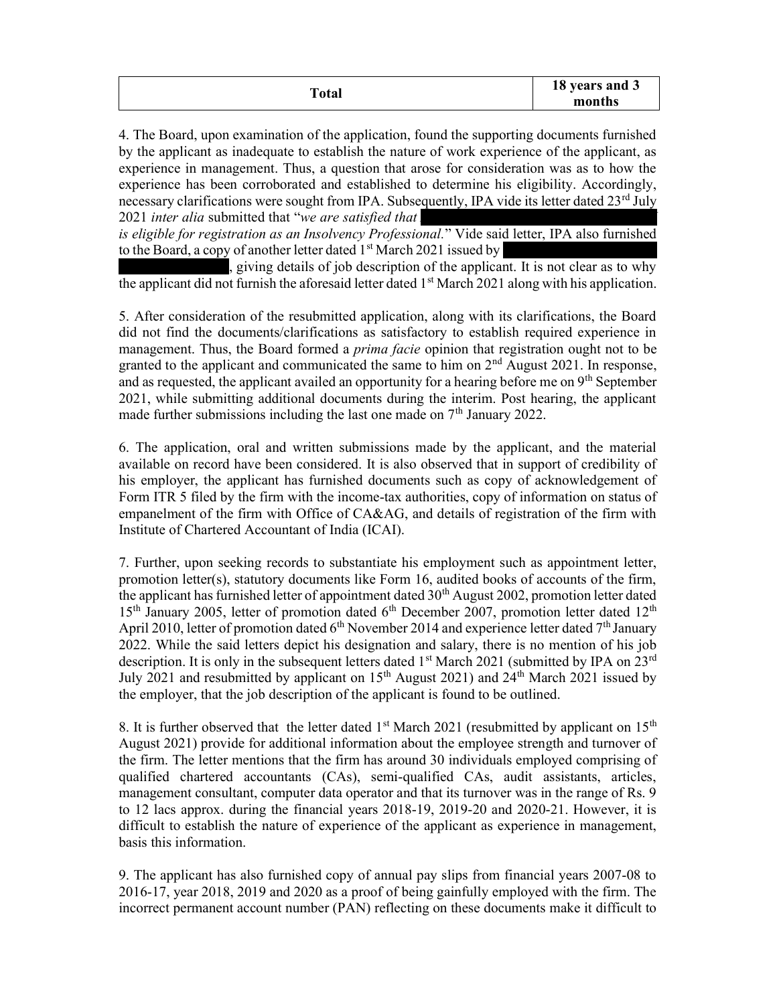| <b>Total</b> | 18 years and 3<br>months |
|--------------|--------------------------|
|              |                          |

4. The Board, upon examination of the application, found the supporting documents furnished by the applicant as inadequate to establish the nature of work experience of the applicant, as experience in management. Thus, a question that arose for consideration was as to how the experience has been corroborated and established to determine his eligibility. Accordingly, necessary clarifications were sought from IPA. Subsequently, IPA vide its letter dated  $23<sup>rd</sup>$  July  $2021$  inter alia submitted that "we are satisfied that

is eligible for registration as an Insolvency Professional." Vide said letter, IPA also furnished to the Board, a copy of another letter dated  $1<sup>st</sup>$  March 2021 issued by

 $\frac{1}{\lambda}$  giving details of job description of the applicant. It is not clear as to why the applicant did not furnish the aforesaid letter dated  $1<sup>st</sup>$  March 2021 along with his application.

5. After consideration of the resubmitted application, along with its clarifications, the Board did not find the documents/clarifications as satisfactory to establish required experience in management. Thus, the Board formed a *prima facie* opinion that registration ought not to be granted to the applicant and communicated the same to him on  $2<sup>nd</sup>$  August 2021. In response, and as requested, the applicant availed an opportunity for a hearing before me on 9<sup>th</sup> September 2021, while submitting additional documents during the interim. Post hearing, the applicant made further submissions including the last one made on  $7<sup>th</sup>$  January 2022.

6. The application, oral and written submissions made by the applicant, and the material available on record have been considered. It is also observed that in support of credibility of his employer, the applicant has furnished documents such as copy of acknowledgement of Form ITR 5 filed by the firm with the income-tax authorities, copy of information on status of empanelment of the firm with Office of CA&AG, and details of registration of the firm with Institute of Chartered Accountant of India (ICAI).

7. Further, upon seeking records to substantiate his employment such as appointment letter, promotion letter(s), statutory documents like Form 16, audited books of accounts of the firm, the applicant has furnished letter of appointment dated  $30<sup>th</sup>$  August 2002, promotion letter dated  $15<sup>th</sup>$  January 2005, letter of promotion dated  $6<sup>th</sup>$  December 2007, promotion letter dated  $12<sup>th</sup>$ April 2010, letter of promotion dated  $6<sup>th</sup>$  November 2014 and experience letter dated  $7<sup>th</sup>$  January 2022. While the said letters depict his designation and salary, there is no mention of his job description. It is only in the subsequent letters dated  $1<sup>st</sup>$  March 2021 (submitted by IPA on 23<sup>rd</sup> July 2021 and resubmitted by applicant on 15<sup>th</sup> August 2021) and  $24<sup>th</sup>$  March 2021 issued by the employer, that the job description of the applicant is found to be outlined.

8. It is further observed that the letter dated  $1<sup>st</sup>$  March 2021 (resubmitted by applicant on  $15<sup>th</sup>$ August 2021) provide for additional information about the employee strength and turnover of the firm. The letter mentions that the firm has around 30 individuals employed comprising of qualified chartered accountants (CAs), semi-qualified CAs, audit assistants, articles, management consultant, computer data operator and that its turnover was in the range of Rs. 9 to 12 lacs approx. during the financial years 2018-19, 2019-20 and 2020-21. However, it is difficult to establish the nature of experience of the applicant as experience in management, basis this information.

9. The applicant has also furnished copy of annual pay slips from financial years 2007-08 to 2016-17, year 2018, 2019 and 2020 as a proof of being gainfully employed with the firm. The incorrect permanent account number (PAN) reflecting on these documents make it difficult to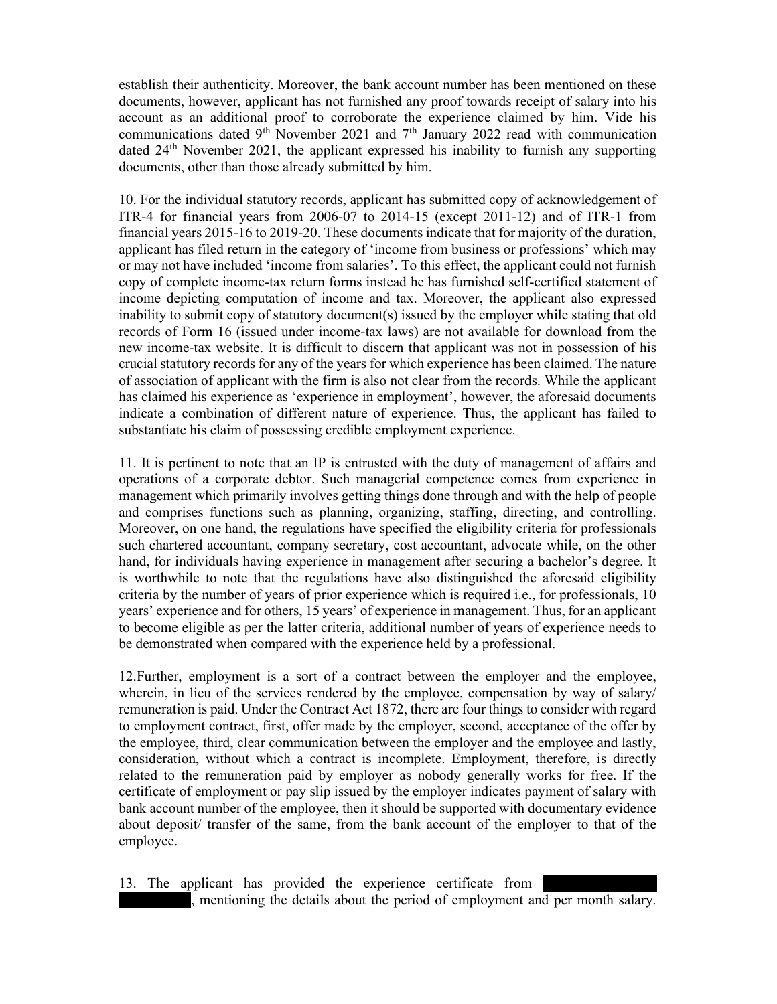establish their authenticity. Moreover, the bank account number has been mentioned on these documents, however, applicant has not furnished any proof towards receipt of salary into his account as an additional proof to corroborate the experience claimed by him. Vide his communications dated 9<sup>th</sup> November 2021 and 7<sup>th</sup> January 2022 read with communication dated 24<sup>th</sup> November 2021, the applicant expressed his inability to furnish any supporting documents, other than those already submitted by him.

10. For the individual statutory records, applicant has submitted copy of acknowledgement of ITR-4 for financial years from 2006-07 to 2014-15 (except 2011-12) and of ITR-1 from financial years 2015-16 to 2019-20. These documents indicate that for majority of the duration, applicant has filed return in the category of 'income from business or professions' which may or may not have included 'income from salaries'. To this effect, the applicant could not furnish copy of complete income-tax return forms instead he has furnished self-certified statement of income depicting computation of income and tax. Moreover, the applicant also expressed inability to submit copy of statutory document(s) issued by the employer while stating that old records of Form 16 (issued under income-tax laws) are not available for download from the new income-tax website. It is difficult to discern that applicant was not in possession of his crucial statutory records for any of the years for which experience has been claimed. The nature of association of applicant with the firm is also not clear from the records. While the applicant has claimed his experience as 'experience in employment', however, the aforesaid documents indicate a combination of different nature of experience. Thus, the applicant has failed to substantiate his claim of possessing credible employment experience.

11. It is pertinent to note that an IP is entrusted with the duty of management of affairs and operations of a corporate debtor. Such managerial competence comes from experience in management which primarily involves getting things done through and with the help of people and comprises functions such as planning, organizing, staffing, directing, and controlling. Moreover, on one hand, the regulations have specified the eligibility criteria for professionals such chartered accountant, company secretary, cost accountant, advocate while, on the other hand, for individuals having experience in management after securing a bachelor's degree. It is worthwhile to note that the regulations have also distinguished the aforesaid eligibility criteria by the number of years of prior experience which is required i.e., for professionals, 10 years' experience and for others, 15 years' of experience in management. Thus, for an applicant to become eligible as per the latter criteria, additional number of years of experience needs to be demonstrated when compared with the experience held by a professional.

12.Further, employment is a sort of a contract between the employer and the employee, wherein, in lieu of the services rendered by the employee, compensation by way of salary/ remuneration is paid. Under the Contract Act 1872, there are four things to consider with regard to employment contract, first, offer made by the employer, second, acceptance of the offer by the employee, third, clear communication between the employer and the employee and lastly, consideration, without which a contract is incomplete. Employment, therefore, is directly related to the remuneration paid by employer as nobody generally works for free. If the certificate of employment or pay slip issued by the employer indicates payment of salary with bank account number of the employee, then it should be supported with documentary evidence about deposit/ transfer of the same, from the bank account of the employer to that of the employee.

13. The applicant has provided the experience certificate from If mentioning the details about the period of employment and per month salary.